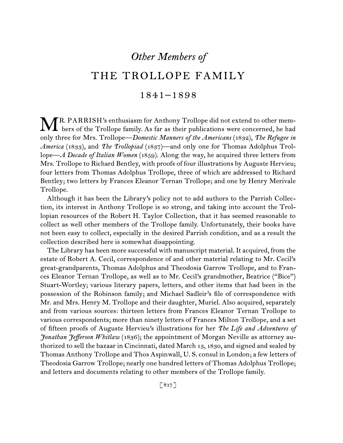# *Other Members of*

# THE TROLLOPE FAMILY

# 1841–1898

R. PARRISH's enthusiasm for Anthony Trollope did not extend to other mem-MR. PARRISH's enthusiasm for Anthony Trollope did not extend to other mem-<br>hers of the Trollope family. As far as their publications were concerned, he had only three for Mrs. Trollope—*Domestic Manners of the Americans* (1832), *The Refugee in America* (1833), and *The Trollopiad* (1837)—and only one for Thomas Adolphus Trollope—*A Decade of Italian Women* (1859). Along the way, he acquired three letters from Mrs. Trollope to Richard Bentley, with proofs of four illustrations by Auguste Hervieu; four letters from Thomas Adolphus Trollope, three of which are addressed to Richard Bentley; two letters by Frances Eleanor Ternan Trollope; and one by Henry Merivale Trollope.

Although it has been the Library's policy not to add authors to the Parrish Collection, its interest in Anthony Trollope is so strong, and taking into account the Trollopian resources of the Robert H. Taylor Collection, that it has seemed reasonable to collect as well other members of the Trollope family. Unfortunately, their books have not been easy to collect, especially in the desired Parrish condition, and as a result the collection described here is somewhat disappointing.

The Library has been more successful with manuscript material. It acquired, from the estate of Robert A. Cecil, correspondence of and other material relating to Mr. Cecil's great-grandparents, Thomas Adolphus and Theodosia Garrow Trollope, and to Frances Eleanor Ternan Trollope, as well as to Mr. Cecil's grandmother, Beatrice ("Bice") Stuart-Wortley; various literary papers, letters, and other items that had been in the possession of the Robinson family; and Michael Sadleir's file of correspondence with Mr. and Mrs. Henry M. Trollope and their daughter, Muriel. Also acquired, separately and from various sources: thirteen letters from Frances Eleanor Ternan Trollope to various correspondents; more than ninety letters of Frances Milton Trollope, and a set of fifteen proofs of Auguste Hervieu's illustrations for her *The Life and Adventures of Jonathan Jefferson Whitlaw* (1836); the appointment of Morgan Neville as attorney authorized to sell the bazaar in Cincinnati, dated March 13, 1830, and signed and sealed by Thomas Anthony Trollope and Thos Aspinwall, U. S. consul in London; a few letters of Theodosia Garrow Trollope; nearly one hundred letters of Thomas Adolphus Trollope; and letters and documents relating to other members of the Trollope family.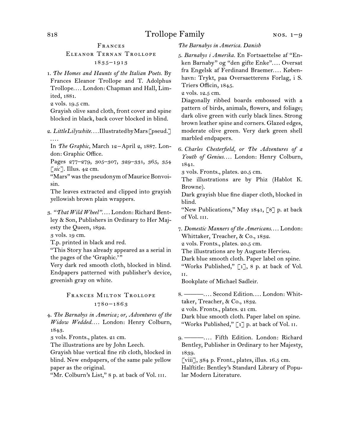Frances

## Eleanor Ternan Trollope 1835–1913

- 1. *The Homes and Haunts of the Italian Poets.* By Frances Eleanor Trollope and T. Adolphus Trollope.... London: Chapman and Hall, Limited, 1881.
- 2 vols. 19.5 cm.

Grayish olive sand cloth, front cover and spine blocked in black, back cover blocked in blind.

2. *Little Lilywhite. . . .* Illustrated by Mars [pseud.] . . . .

In *The Graphic,* March 12–April 2, 1887. London: Graphic Office.

Pages 277–279, 305–307, 329–331, 365, 354 [*sic*]. Illus. 42 cm.

"Mars" was the pseudonym of Maurice Bonvoisin.

The leaves extracted and clipped into grayish yellowish brown plain wrappers.

- 3. "That Wild Wheel".... London: Richard Bentley & Son, Publishers in Ordinary to Her Majesty the Queen, 1892.
- 3 vols. 19 cm.
- T.p. printed in black and red.

"This Story has already appeared as a serial in the pages of the 'Graphic.'"

Very dark red smooth cloth, blocked in blind. Endpapers patterned with publisher's device, greenish gray on white.

## Frances Milton Trollope 1780–1863

4. *The Barnabys in America; or, Adventures of the Widow Wedded. . . .* London: Henry Colburn, 1843.

3 vols. Fronts., plates. 21 cm.

The illustrations are by John Leech.

Grayish blue vertical fine rib cloth, blocked in blind. New endpapers, of the same pale yellow paper as the original.

"Mr. Colburn's List," 8 p. at back of Vol. III.

*The Barnabys in America. Danish*

5. *Barnabys i Amerika.* En Fortsaettelse af "Enken Barnaby" og "den gifte Enke".... Oversat fra Engelsk af Ferdinand Braemer.... København: Trykt, paa Oversaetterens Forlag, i S. Triers Officin, 1845.

2 vols. 12.5 cm.

Diagonally ribbed boards embossed with a pattern of birds, animals, flowers, and foliage; dark olive green with curly black lines. Strong brown leather spine and corners. Glazed edges, moderate olive green. Very dark green shell marbled endpapers.

6. *Charles Chesterfield, or The Adventures of a Youth of Genius. . . .* London: Henry Colburn, 1841.

3 vols. Fronts., plates. 20.5 cm.

The illustrations are by Phiz (Hablot K. Browne).

Dark grayish blue fine diaper cloth, blocked in blind.

"New Publications," May  $1841, 78$  p. at back of Vol. iii.

7. *Domestic Manners of the Americans*. . . . London: Whittaker, Treacher, & Co., 1832.

2 vols. Fronts., plates. 20.5 cm.

The illustrations are by Auguste Hervieu.

Dark blue smooth cloth. Paper label on spine. "Works Published," [1], 8 p. at back of Vol.

ii.

Bookplate of Michael Sadleir.

8. ———.... Second Edition.... London: Whittaker, Treacher, & Co., 1832.

2 vols. Fronts., plates. 21 cm.

Dark blue smooth cloth. Paper label on spine. "Works Published,"  $\lceil 1 \rceil$  p. at back of Vol. II.

9. ———. . . . Fifth Edition. London: Richard Bentley, Publisher in Ordinary to her Majesty, 1839.

[viii], 384 p. Front., plates, illus. 16.5 cm. Halftitle: Bentley's Standard Library of Popular Modern Literature.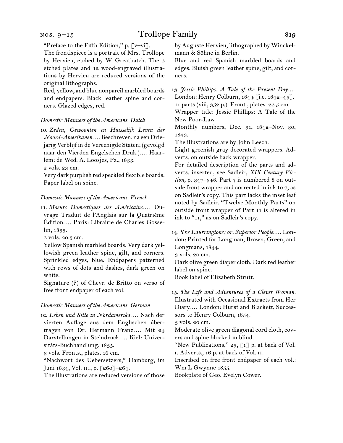#### nos. 9–15

# Trollope Family 819

"Preface to the Fifth Edition," p. [v–vi].

The frontispiece is a portrait of Mrs. Trollope by Hervieu, etched by W. Greatbatch. The 2 etched plates and 12 wood-engraved illustrations by Hervieu are reduced versions of the original lithographs.

Red, yellow, and blue nonpareil marbled boards and endpapers. Black leather spine and corners. Glazed edges, red.

#### *Domestic Manners of the Americans. Dutch*

10. *Zeden, Gewoonten en Huisselijk Leven der Noord-Amerikanen. . . .* Beschreven, na een Driejarig Verblijf in de Vereenigde Staten; (gevolgd naar den Vierden Engelschen Druk.).... Haarlem: de Wed. A. Loosjes, Pz., 1833.

2 vols. 23 cm.

Very dark purplish red speckled flexible boards. Paper label on spine.

#### *Domestic Manners of the Americans. French*

11. Moeurs Domestiques des Américains.... Ouvrage Traduit de l'Anglais sur la Quatrième Édition.... Paris: Librairie de Charles Gosselin, 1833.

2 vols. 20.5 cm.

Yellow Spanish marbled boards. Very dark yellowish green leather spine, gilt, and corners. Sprinkled edges, blue. Endpapers patterned with rows of dots and dashes, dark green on white.

Signature (?) of Chevr. de Britto on verso of free front endpaper of each vol.

#### *Domestic Manners of the Americans. German*

12. *Leben und Sitte in Nordamerika. . . .* Nach der vierten Auflage aus dem Englischen úbertragen von Dr. Hermann Franz.... Mit 24 Darstellungen in Steindruck.... Kiel: Universitáts-Buchhandlung, 1835.

3 vols. Fronts., plates. 16 cm.

"Nachwort des Uebersetzers," Hamburg, im Juni 1834, Vol. III, p. [260]-264.

The illustrations are reduced versions of those

by Auguste Hervieu, lithographed by Winckelmann & Söhne in Berlin.

Blue and red Spanish marbled boards and edges. Bluish green leather spine, gilt, and corners.

13. *Jessie Phillips. A Tale of the Present Day....* London: Henry Colburn, 1844 [i.e. 1842–43]. 11 parts (viii, 352 p.). Front., plates. 22.5 cm.

Wrapper title: Jessie Phillips: A Tale of the New Poor-Law.

Monthly numbers, Dec. 31, 1842–Nov. 30, 1843.

The illustrations are by John Leech.

Light greenish gray decorated wrappers. Adverts. on outside back wrapper.

For detailed description of the parts and adverts. inserted, see Sadleir, *XIX Century Fiction,* p. 347–348. Part 7 is numbered 8 on outside front wrapper and corrected in ink to 7, as on Sadleir's copy. This part lacks the inset leaf noted by Sadleir. "Twelve Monthly Parts" on outside front wrapper of Part 11 is altered in ink to "11," as on Sadleir's copy.

14. *The Laurringtons; or, Superior People....* London: Printed for Longman, Brown, Green, and Longmans, 1844.

3 vols. 20 cm.

Dark olive green diaper cloth. Dark red leather label on spine.

Book label of Elizabeth Strutt.

15. *The Life and Adventures of a Clever Woman.* Illustrated with Occasional Extracts from Her Diary.... London: Hurst and Blackett, Successors to Henry Colburn, 1854.

3 vols. 20 cm.

Moderate olive green diagonal cord cloth, covers and spine blocked in blind.

"New Publications," 23, [1] p. at back of Vol. i. Adverts., 16 p. at back of Vol. ii.

Inscribed on free front endpaper of each vol.: Wm L Gwynne 1855.

Bookplate of Geo. Evelyn Cower.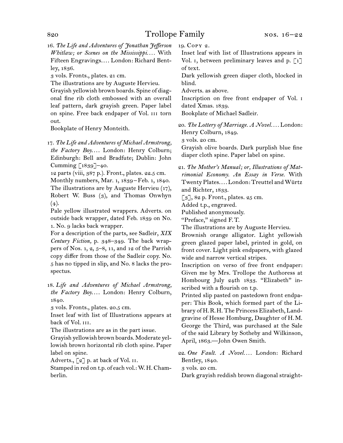16. *The Life and Adventures of Jonathan Jefferson Whitlaw; or Scenes on the Mississippi. . . .* With Fifteen Engravings.... London: Richard Bentley, 1836.

3 vols. Fronts., plates. 21 cm.

The illustrations are by Auguste Hervieu.

Grayish yellowish brown boards. Spine of diagonal fine rib cloth embossed with an overall leaf pattern, dark grayish green. Paper label on spine. Free back endpaper of Vol. iii torn out.

Bookplate of Henry Monteith.

17. *The Life and Adventures of Michael Armstrong,*  the Factory Boy.... London: Henry Colburn; Edinburgh: Bell and Bradfute; Dublin: John Cumming  $\lceil 1839 \rceil$ –40.

12 parts (viii, 387 p.). Front., plates. 22.5 cm.

Monthly numbers, Mar. 1, 1839–Feb. 1, 1840. The illustrations are by Auguste Hervieu (17), Robert W. Buss (3), and Thomas Onwhyn  $(4).$ 

Pale yellow illustrated wrappers. Adverts. on outside back wrapper, dated Feb. 1839 on No. 1. No. 9 lacks back wrapper.

For a description of the parts, see Sadleir, *XIX Century Fiction,* p. 348–349. The back wrappers of Nos. 1, 2, 5–8, 11, and 12 of the Parrish copy differ from those of the Sadleir copy. No. 5 has no tipped in slip, and No. 8 lacks the prospectus.

18. *Life and Adventures of Michael Armstrong,*  the Factory Boy.... London: Henry Colburn, 1840.

3 vols. Fronts., plates. 20.5 cm.

Inset leaf with list of Illustrations appears at back of Vol. iii.

The illustrations are as in the part issue.

Grayish yellowish brown boards. Moderate yellowish brown horizontal rib cloth spine. Paper label on spine.

Adverts.,  $\lbrack 2 \rbrack$  p. at back of Vol. II.

Stamped in red on t.p. of each vol.: W. H. Chamberlin.

19. Copy 2.

Inset leaf with list of Illustrations appears in Vol. 1, between preliminary leaves and p.  $\lceil 1 \rceil$ of text.

Dark yellowish green diaper cloth, blocked in blind.

Adverts. as above.

Inscription on free front endpaper of Vol. i dated Xmas. 1839.

Bookplate of Michael Sadleir.

20. *The Lottery of Marriage. A Novel. . . .* London: Henry Colburn, 1849.

3 vols. 20 cm.

Grayish olive boards. Dark purplish blue fine diaper cloth spine. Paper label on spine.

21. *The Mother's Manual; or, Illustrations of Matrimonial Economy. An Essay in Verse.* With Twenty Plates.... London: Treuttel and Würtz and Richter, 1833.

 $\lceil 3 \rceil$ , 82 p. Front., plates. 25 cm.

Added t.p., engraved.

Published anonymously.

"Preface," signed F.T.

The illustrations are by Auguste Hervieu.

Brownish orange alligator. Light yellowish green glazed paper label, printed in gold, on front cover. Light pink endpapers, with glazed wide and narrow vertical stripes.

Inscription on verso of free front endpaper: Given me by Mrs. Trollope the Authoress at Hombourg July 24th 1833. "Elizabeth" inscribed with a flourish on t.p.

Printed slip pasted on pastedown front endpaper: This Book, which formed part of the Library of H.R.H. The Princess Elizabeth, Landgravine of Hesse Homburg, Daughter of H.M. George the Third, was purchased at the Sale of the said Library by Sotheby and Wilkinson, April, 1863.—John Owen Smith.

22. *One Fault. A Novel. . . .* London: Richard Bentley, 1840.

3 vols. 20 cm.

Dark grayish reddish brown diagonal straight-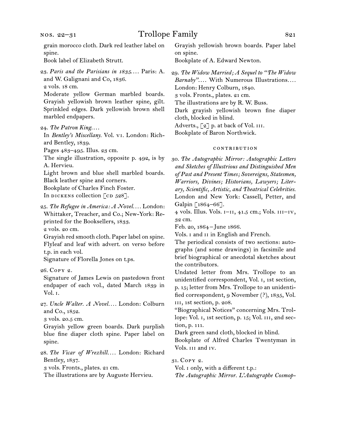grain morocco cloth. Dark red leather label on spine.

Book label of Elizabeth Strutt.

23. Paris and the Parisians in 1835.... Paris: A. and W. Galignani and Co, 1836.

2 vols. 18 cm.

Moderate yellow German marbled boards. Grayish yellowish brown leather spine, gilt. Sprinkled edges. Dark yellowish brown shell marbled endpapers.

In *Bentley's Miscellany.* Vol. vi. London: Richard Bentley, 1839.

Pages 483–495. Illus. 23 cm.

The single illustration, opposite p. 492, is by A. Hervieu.

Light brown and blue shell marbled boards. Black leather spine and corners.

Bookplate of Charles Finch Foster.

In dickens collection  $\lceil$  cd 528].

25. *The Refugee in America: A Novel. . . .* London: Whittaker, Treacher, and Co.; New-York: Reprinted for the Booksellers, 1833.

2 vols. 20 cm.

Grayish red smooth cloth. Paper label on spine. Flyleaf and leaf with advert. on verso before t.p. in each vol.

Signature of Florella Jones on t.ps.

26. Copy 2.

Signature of James Lewis on pastedown front endpaper of each vol., dated March 1839 in Vol. i.

27. *Uncle Walter. A Novel. . . .* London: Colburn and Co., 1852.

3 vols. 20.5 cm.

Grayish yellow green boards. Dark purplish blue fine diaper cloth spine. Paper label on spine.

28. *The Vicar of Wrexhill. . . .* London: Richard Bentley, 1837.

3 vols. Fronts., plates. 21 cm.

The illustrations are by Auguste Hervieu.

Grayish yellowish brown boards. Paper label on spine.

Bookplate of A. Edward Newton.

29. *The Widow Married; A Sequel to "The Widow Barnaby"*. . . . With Numerous Illustrations*. . . .* London: Henry Colburn, 1840. 3 vols. Fronts., plates. 21 cm. The illustrations are by R. W. Buss. Dark grayish yellowish brown fine diaper cloth, blocked in blind. Adverts., [2] p. at back of Vol. III. Bookplate of Baron Northwick.

#### contribution

30. *The Autographic Mirror: Autographic Letters and Sketches of Illustrious and Distinguished Men of Past and Present Times; Sovereigns, Statesmen, Warriors, Divines; Historians, Lawyers; Literary, Scientific, Artistic, and Theatrical Celebrities.* London and New York: Cassell, Petter, and Galpin [1864–66].

4 vols. Illus. Vols. i–ii, 41.5 cm.; Vols. iii–iv, 32 cm.

Feb. 20, 1864–June 1866.

Vols. i and ii in English and French.

The periodical consists of two sections: autographs (and some drawings) in facsimile and brief biographical or anecdotal sketches about the contributors.

Undated letter from Mrs. Trollope to an unidentified correspondent, Vol. i, 1st section, p. 15; letter from Mrs. Trollope to an unidentified correspondent, 9 November (?), 1835, Vol. iii, 1st section, p. 208.

"Biographical Notices" concerning Mrs. Trollope: Vol. 1, 1st section, p. 15; Vol. III, 2nd section, p. 111.

Dark green sand cloth, blocked in blind.

Bookplate of Alfred Charles Twentyman in Vols. iii and iv.

31. Copy 2.

Vol. i only, with a different t.p.:

*The Autographic Mirror. L'Autographe Cosmop-*

<sup>24.</sup> The Patron King....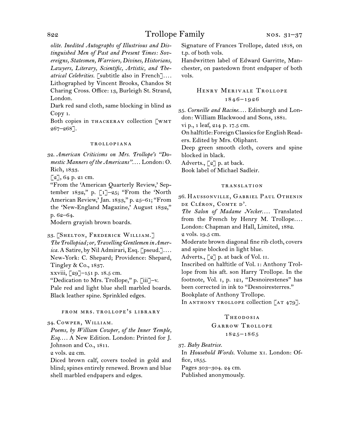*olite. Inedited Autographs of Illustrious and Distinguished Men of Past and Present Times: Sovereigns, Statesmen, Warriors, Divines, Historians, Lawyers, Literary, Scientific, Artistic, and Theatrical Celebrities.* [subtitle also in French]*. . . .*  Lithographed by Vincent Brooks, Chandos St Charing Cross. Office: 13, Burleigh St. Strand, London.

Dark red sand cloth, same blocking in blind as Copy 1.

Both copies in THACKERAY collection [WMT 267–268].

#### trollopiana

32. *American Criticisms on Mrs. Trollope's "Domestic Manners of the Americans"*. . . . London: O. Rich, 1833.

 $[2]$ , 64 p. 21 cm.

"From the 'American Quarterly Review,' September 1832," p.  $\lbrack 1 \rbrack -25$ ; "From the 'North American Review,' Jan. 1833," p. 25–61; "From the 'New-England Magazine,' August 1832," p. 62–64.

Modern grayish brown boards.

33. [Shelton, Frederick William.]

*The Trollopiad; or, Travelling Gentlemen in Amer-*

*ica.* A Satire, by Nil Admirari, Esq. [pseud.]....

New-York: C. Shepard; Providence: Shepard, Tingley & Co., 1837.

xxviii, [29]–151 p. 18.5 cm.

"Dedication to Mrs. Trollope," p. [iii]–v.

Pale red and light blue shell marbled boards. Black leather spine. Sprinkled edges.

### from mrs. trollope's library

34. Cowper, William.

*Poems, by William Cowper, of the Inner Temple, Esq*. . . . A New Edition. London: Printed for J. Johnson and Co., 1811.

2 vols. 22 cm.

Diced brown calf, covers tooled in gold and blind; spines entirely renewed. Brown and blue shell marbled endpapers and edges.

Signature of Frances Trollope, dated 1818, on t.p. of both vols.

Handwritten label of Edward Garritte, Manchester, on pastedown front endpaper of both vols.

## Henry Merivale Trollope 1846–1926

35. Corneille and Racine.... Edinburgh and London: William Blackwood and Sons, 1881.

vi p., 1 leaf, 214 p. 17.5 cm.

On halftitle: Foreign Classics for English Readers. Edited by Mrs. Oliphant.

Deep green smooth cloth, covers and spine blocked in black.

Adverts., [2] p. at back.

Book label of Michael Sadleir.

#### translation

36. Haussonville, Gabriel Paul Othenin DE CLÉRON, COMTE D'.

The Salon of Madame Necker.... Translated from the French by Henry M. Trollope.... London: Chapman and Hall, Limited, 1882.

2 vols. 19.5 cm.

Moderate brown diagonal fine rib cloth, covers and spine blocked in light blue.

Adverts.,  $\lceil 2 \rceil$  p. at back of Vol. II.

Inscribed on halftitle of Vol. i: Anthony Trollope from his aft. son Harry Trollope. In the footnote, Vol. i, p. 121, "Desnoirestenes" has been corrected in ink to "Desnoiresterres." Bookplate of Anthony Trollope.

In ANTHONY TROLLOPE collection  $[AT 479]$ .

#### **THEODOSIA**

GARROW TROLLOPE

1825–1865

37. *Baby Beatrice.*

In *Household Words.* Volume xi. London: Office, 1855.

Pages 303–304. 24 cm.

Published anonymously.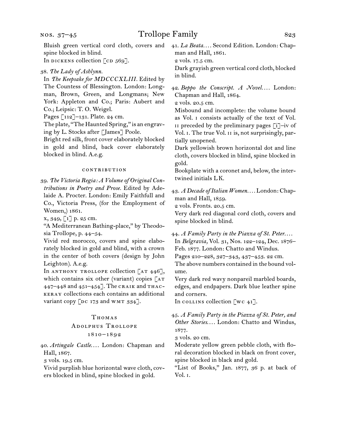spine blocked in blind. In dickens collection  $\lceil$  cd  $569\rceil$ .

38. *The Lady of Ashlynn.*

In *The Keepsake for MDCCCXLIII.* Edited by The Countess of Blessington. London: Longman, Brown, Green, and Longmans; New York: Appleton and Co.; Paris: Aubert and Co.; Leipsic: T. O. Weigel.

Pages [112]–131. Plate. 24 cm.

The plate, "The Haunted Spring," is an engraving by L. Stocks after [James] Poole.

Bright red silk, front cover elaborately blocked in gold and blind, back cover elaborately blocked in blind. A.e.g.

#### **CONTRIBUTION**

39. *The Victoria Regia: A Volume of Original Contributions in Poetry and Prose.* Edited by Adelaide A. Procter. London: Emily Faithfull and Co., Victoria Press, (for the Employment of Women,) 1861.

x, 349, [1] p. 25 cm.

"A Mediterranean Bathing-place," by Theodosia Trollope, p. 44–54.

Vivid red morocco, covers and spine elaborately blocked in gold and blind, with a crown in the center of both covers (design by John Leighton). A.e.g.

In ANTHONY TROLLOPE collection  $[AT 446]$ , which contains six other (variant) copies  $[AT]$ 447–448 and 451–454]. The craik and thackeray collections each contains an additional variant copy  $\lceil$ DC 173 and WMT 334].

#### THOMAS

# Adolphus Trollope

### 1810–1892

40. *Artingale Castle...*. London: Chapman and Hall, 1867.

3 vols. 19.5 cm.

Vivid purplish blue horizontal wave cloth, covers blocked in blind, spine blocked in gold.

Bluish green vertical cord cloth, covers and 41. *La Beata...* Second Edition. London: Chapman and Hall, 1861.

2 vols. 17.5 cm.

Dark grayish green vertical cord cloth, blocked in blind.

42. *Beppo the Conscript. A Novel. . . .* London: Chapman and Hall, 1864.

2 vols. 20.5 cm.

Misbound and incomplete: the volume bound as Vol. i consists actually of the text of Vol. ii preceded by the preliminary pages [i]–iv of Vol. I. The true Vol. II is, not surprisingly, partially unopened.

Dark yellowish brown horizontal dot and line cloth, covers blocked in blind, spine blocked in gold.

Bookplate with a coronet and, below, the intertwined initials LK.

43. *A Decade of Italian Women. . . .* London: Chapman and Hall, 1859.

2 vols. Fronts. 20.5 cm.

Very dark red diagonal cord cloth, covers and spine blocked in blind.

44. *A Family Party in the Piazza of St. Peter*. . . . In *Belgravia,* Vol. 31, Nos. 122–124, Dec. 1876– Feb. 1877. London: Chatto and Windus.

Pages 210–228, 327–343, 437–453. 22 cm.

The above numbers contained in the bound volume.

Very dark red wavy nonpareil marbled boards, edges, and endpapers. Dark blue leather spine and corners.

In collins collection  $\lceil wc 41 \rceil$ .

45. *A Family Party in the Piazza of St. Peter, and*  Other Stories.... London: Chatto and Windus, 1877.

3 vols. 20 cm.

Moderate yellow green pebble cloth, with floral decoration blocked in black on front cover, spine blocked in black and gold.

"List of Books," Jan. 1877, 36 p. at back of Vol. i.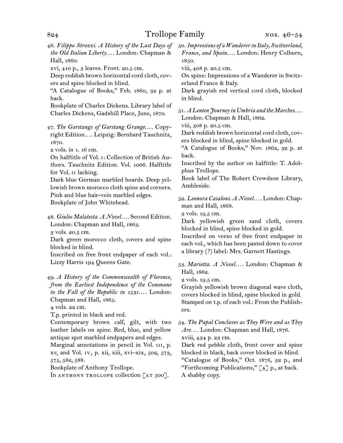46. *Filippo Strozzi. A History of the Last Days of*  50. *Impressions of a Wanderer in Italy, Switzerland, the Old Italian Liberty....* London: Chapman & Hall, 1860.

xvi, 410 p., 3 leaves. Front. 20.5 cm.

Deep reddish brown horizontal cord cloth, covers and spine blocked in blind.

"A Catalogue of Books," Feb. 1860, 32 p. at back.

Bookplate of Charles Dickens. Library label of Charles Dickens, Gadshill Place, June, 1870.

47. The Garstangs of Garstang Grange.... Copyright Edition.... Leipzig: Bernhard Tauchnitz, 1870.

2 vols. in 1. 16 cm.

On halftitle of Vol. i: Collection of British Authors. Tauchnitz Edition. Vol. 1066. Halftitle for Vol. ii lacking.

Dark blue German marbled boards. Deep yellowish brown morocco cloth spine and corners. Pink and blue hair-vein marbled edges.

Bookplate of John Whitehead.

48. *Giulio Malatesta. A Novel. . . .* Second Edition. London: Chapman and Hall, 1863.

3 vols. 20.5 cm.

Dark green morocco cloth, covers and spine blocked in blind.

Inscribed on free front endpaper of each vol.: Lizzy Harris 194 Queens Gate.

49. *A History of the Commonwealth of Florence, from the Earliest Independence of the Commune*  to the Fall of the Republic in 1531.... London: Chapman and Hall, 1865.

4 vols. 22 cm.

T.p. printed in black and red.

Contemporary brown calf, gilt, with two leather labels on spine. Red, blue, and yellow antique spot marbled endpapers and edges.

Marginal annotations in pencil in Vol. III, p. xv, and Vol. iv, p. xii, xiii, xvi–xix, 502, 573, 575, 582, 588.

Bookplate of Anthony Trollope.

In ANTHONY TROLLOPE collection [AT 500].

*France, and Spain. . . .* London: Henry Colburn, 1850.

viii, 408 p. 20.5 cm.

On spine: Impressions of a Wanderer in Switzerland France & Italy.

Dark grayish red vertical cord cloth, blocked in blind.

51. *A Lenten Journey in Umbria and the Marches*. . . . London: Chapman & Hall, 1862.

viii, 308 p. 20.5 cm.

Dark reddish brown horizontal cord cloth, covers blocked in blind, spine blocked in gold.

"A Catalogue of Books," Nov. 1862, 32 p. at back.

Inscribed by the author on halftitle: T. Adolphus Trollope.

Book label of The Robert Crewdson Library, Ambleside.

52. *Leonora Casaloni. A Novel. . . .* London: Chapman and Hall, 1868.

2 vols. 19.5 cm.

Dark yellowish green sand cloth, covers blocked in blind, spine blocked in gold.

Inscribed on verso of free front endpaper in each vol., which has been pasted down to cover a library (?) label: Mrs. Garnett Hastings.

53. *Marietta. A Novel. . . .* London: Chapman & Hall, 1862.

2 vols. 19.5 cm.

Grayish yellowish brown diagonal wave cloth, covers blocked in blind, spine blocked in gold. Stamped on t.p. of each vol.: From the Publishers.

54. *The Papal Conclaves as They Were and as They*  Are.... London: Chapman and Hall, 1876. xviii, 434 p. 23 cm.

Dark red pebble cloth, front cover and spine blocked in black, back cover blocked in blind. "Catalogue of Books," Oct. 1876, 32 p., and "Forthcoming Publications,"  $\lceil 4 \rceil$  p., at back. A shabby copy.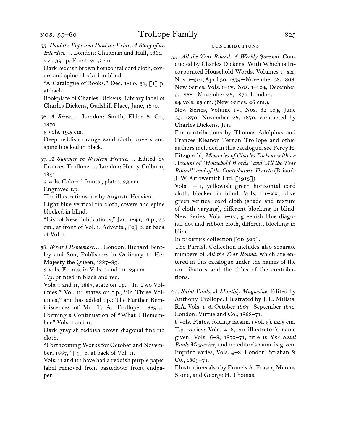nos. 55–60

55. *Paul the Pope and Paul the Friar. A Story of an Interdict...*. London: Chapman and Hall, 1861.

xvi, 391 p. Front. 20.5 cm. Dark reddish brown horizontal cord cloth, cov-

ers and spine blocked in blind.

"A Catalogue of Books," Dec. 1860, 31,  $\lceil 1 \rceil$  p. at back.

Bookplate of Charles Dickens. Library label of Charles Dickens, Gadshill Place, June, 1870.

56. *A Siren. . . .* London: Smith, Elder & Co., 1870.

3 vols. 19.5 cm.

Deep reddish orange sand cloth, covers and spine blocked in black.

57. *A Summer in Western France...*. Edited by Frances Trollope.... London: Henry Colburn, 1841.

2 vols. Colored fronts., plates. 23 cm.

Engraved t.p.

The illustrations are by Auguste Hervieu.

Light blue vertical rib cloth, covers and spine blocked in blind.

"List of New Publications," Jan. 1841, 16 p., 22 cm., at front of Vol. i. Adverts., [2] p. at back of Vol. i.

58. *What I Remember....* London: Richard Bentley and Son, Publishers in Ordinary to Her Majesty the Queen, 1887–89.

3 vols. Fronts. in Vols. i and iii. 23 cm.

T.p. printed in black and red.

Vols. i and ii, 1887, state on t.p., "In Two Volumes." Vol. III states on t.p., "In Three Volumes," and has added t.p.: The Further Reminiscences of Mr. T. A. Trollope. 1889.... Forming a Continuation of "What I Remember" Vols. I and II.

Dark grayish reddish brown diagonal fine rib cloth.

"Forthcoming Works for October and November, 1887," [4] p. at back of Vol. ii.

Vols. ii and iii have had a reddish purple paper label removed from pastedown front endpaper.

### contributions

59. *All the Year Round. A Weekly Journal.* Conducted by Charles Dickens. With Which is Incorporated Household Words. Volumes i–xx, Nos. 1–501, April 30, 1859–November 28, 1868. New Series, Vols. i–iv, Nos. 1–104, December 5, 1868 –November 26, 1870. London.

24 vols. 25 cm. (New Series, 26 cm.).

New Series, Volume iv, Nos. 82–104, June 25, 1870–November 26, 1870, conducted by Charles Dickens, Jun.

For contributions by Thomas Adolphus and Frances Eleanor Ternan Trollope and other authors included in this catalogue, see Percy H. Fitzgerald, *Memories of Charles Dickens with an Account of "Household Words" and "All the Year Round" and of the Contributors Thereto* (Bristol: J. W. Arrowsmith Ltd. [1913]).

Vols. I-II, yellowish green horizontal cord cloth, blocked in blind. Vols.  $III-XX$ , olive green vertical cord cloth (shade and texture of cloth varying), different blocking in blind. New Series, Vols. i–iv, greenish blue diagonal dot and ribbon cloth, different blocking in blind.

In DICKENS collection  $[CD 520]$ .

The Parrish Collection includes also separate numbers of *All the Year Round,* which are entered in this catalogue under the names of the contributors and the titles of the contributions.

60. *Saint Pauls. A Monthly Magazine.* Edited by Anthony Trollope. Illustrated by J. E. Millais, R.A. Vols. 1–8, October 1867 –September 1871. London: Virtue and Co., 1868–71.

8 vols. Plates, folding facsim. (Vol. 3). 22.5 cm. T.p. varies: Vols. 4–8, no illustrator's name given; Vols. 6–8, 1870–71, title is *The Saint Pauls Magazine,* and no editor's name is given. Imprint varies, Vols. 4–8: London: Strahan & Co., 1869–71.

Illustrations also by Francis A. Fraser, Marcus Stone, and George H. Thomas.